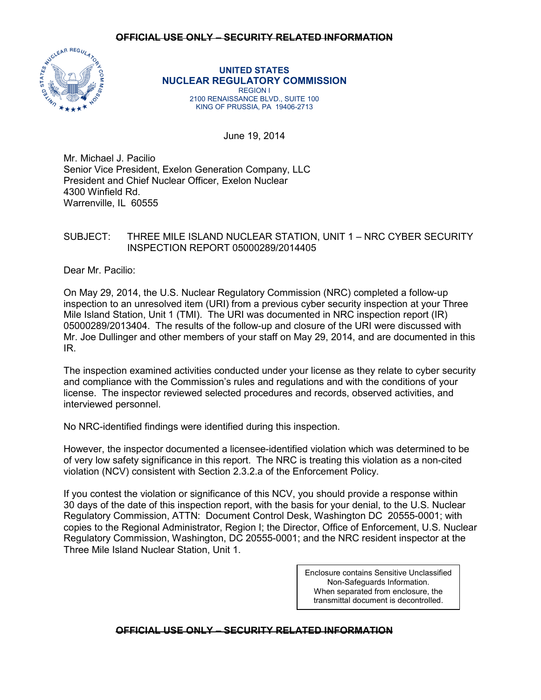

**UNITED STATES NUCLEAR REGULATORY COMMISSION** REGION I 2100 RENAISSANCE BLVD., SUITE 100 KING OF PRUSSIA, PA 19406-2713

June 19, 2014

Mr. Michael J. Pacilio Senior Vice President, Exelon Generation Company, LLC President and Chief Nuclear Officer, Exelon Nuclear 4300 Winfield Rd. Warrenville, IL 60555

# SUBJECT: THREE MILE ISLAND NUCLEAR STATION, UNIT 1 – NRC CYBER SECURITY INSPECTION REPORT 05000289/2014405

Dear Mr. Pacilio:

On May 29, 2014, the U.S. Nuclear Regulatory Commission (NRC) completed a follow-up inspection to an unresolved item (URI) from a previous cyber security inspection at your Three Mile Island Station, Unit 1 (TMI). The URI was documented in NRC inspection report (IR) 05000289/2013404. The results of the follow-up and closure of the URI were discussed with Mr. Joe Dullinger and other members of your staff on May 29, 2014, and are documented in this IR.

The inspection examined activities conducted under your license as they relate to cyber security and compliance with the Commission's rules and regulations and with the conditions of your license. The inspector reviewed selected procedures and records, observed activities, and interviewed personnel.

No NRC-identified findings were identified during this inspection.

However, the inspector documented a licensee-identified violation which was determined to be of very low safety significance in this report. The NRC is treating this violation as a non-cited violation (NCV) consistent with Section 2.3.2.a of the Enforcement Policy.

If you contest the violation or significance of this NCV, you should provide a response within 30 days of the date of this inspection report, with the basis for your denial, to the U.S. Nuclear Regulatory Commission, ATTN: Document Control Desk, Washington DC 20555-0001; with copies to the Regional Administrator, Region I; the Director, Office of Enforcement, U.S. Nuclear Regulatory Commission, Washington, DC 20555-0001; and the NRC resident inspector at the Three Mile Island Nuclear Station, Unit 1.

> Enclosure contains Sensitive Unclassified Non-Safeguards Information. When separated from enclosure, the transmittal document is decontrolled.

## **OFFICIAL USE ONLY – SECURITY RELATED INFORMATION**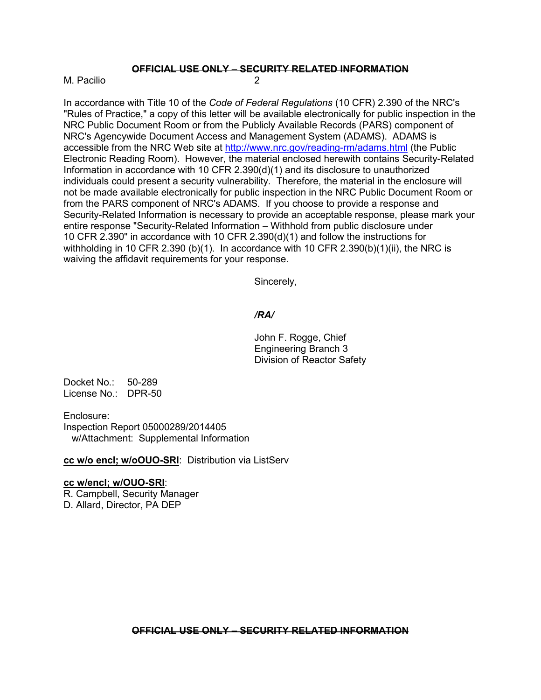M. Pacilio 2

In accordance with Title 10 of the *Code of Federal Regulations* (10 CFR) 2.390 of the NRC's "Rules of Practice," a copy of this letter will be available electronically for public inspection in the NRC Public Document Room or from the Publicly Available Records (PARS) component of NRC's Agencywide Document Access and Management System (ADAMS). ADAMS is accessible from the NRC Web site at<http://www.nrc.gov/reading-rm/adams.html> (the Public Electronic Reading Room). However, the material enclosed herewith contains Security-Related Information in accordance with 10 CFR 2.390(d)(1) and its disclosure to unauthorized individuals could present a security vulnerability. Therefore, the material in the enclosure will not be made available electronically for public inspection in the NRC Public Document Room or from the PARS component of NRC's ADAMS. If you choose to provide a response and Security-Related Information is necessary to provide an acceptable response, please mark your entire response "Security-Related Information – Withhold from public disclosure under 10 CFR 2.390" in accordance with 10 CFR 2.390(d)(1) and follow the instructions for withholding in 10 CFR 2.390 (b)(1). In accordance with 10 CFR 2.390(b)(1)(ii), the NRC is waiving the affidavit requirements for your response.

Sincerely,

## */RA/*

John F. Rogge, Chief Engineering Branch 3 Division of Reactor Safety

Docket No.: 50-289 License No.: DPR-50

Enclosure: Inspection Report 05000289/2014405 w/Attachment: Supplemental Information

**cc w/o encl; w/oOUO-SRI**: Distribution via ListServ

## **cc w/encl; w/OUO-SRI**:

R. Campbell, Security Manager D. Allard, Director, PA DEP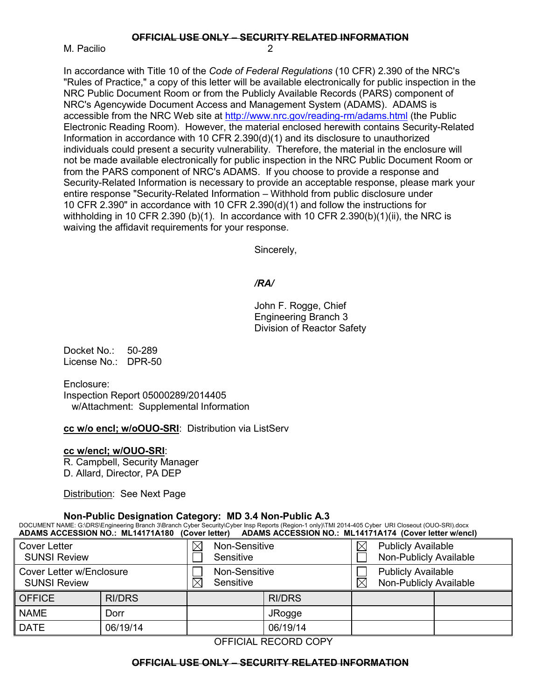M. Pacilio

In accordance with Title 10 of the *Code of Federal Regulations* (10 CFR) 2.390 of the NRC's "Rules of Practice," a copy of this letter will be available electronically for public inspection in the NRC Public Document Room or from the Publicly Available Records (PARS) component of NRC's Agencywide Document Access and Management System (ADAMS). ADAMS is accessible from the NRC Web site at<http://www.nrc.gov/reading-rm/adams.html> (the Public Electronic Reading Room). However, the material enclosed herewith contains Security-Related Information in accordance with 10 CFR 2.390(d)(1) and its disclosure to unauthorized individuals could present a security vulnerability. Therefore, the material in the enclosure will not be made available electronically for public inspection in the NRC Public Document Room or from the PARS component of NRC's ADAMS. If you choose to provide a response and Security-Related Information is necessary to provide an acceptable response, please mark your entire response "Security-Related Information – Withhold from public disclosure under 10 CFR 2.390" in accordance with 10 CFR 2.390(d)(1) and follow the instructions for withholding in 10 CFR 2.390 (b)(1). In accordance with 10 CFR 2.390(b)(1)(ii), the NRC is waiving the affidavit requirements for your response.

Sincerely,

# */RA/*

John F. Rogge, Chief Engineering Branch 3 Division of Reactor Safety

Docket No.: 50-289 License No.: DPR-50

Enclosure: Inspection Report 05000289/2014405 w/Attachment: Supplemental Information

**cc w/o encl; w/oOUO-SRI**: Distribution via ListServ

### **cc w/encl; w/OUO-SRI**:

R. Campbell, Security Manager D. Allard, Director, PA DEP

Distribution: See Next Page

## **Non-Public Designation Category: MD 3.4 Non-Public A.3**

DOCUMENT NAME: G:\DRS\Engineering Branch 3\Branch Cyber Security\Cyber Insp Reports (Region-1 only)\TMI 2014-405 Cyber URI Closeout (OUO-SRI).docx **ADAMS ACCESSION NO.: ML14171A180 (Cover letter) ADAMS ACCESSION NO.: ML14171A174 (Cover letter w/encl)**

| <b>Cover Letter</b><br><b>SUNSI Review</b>      |               | $\boxtimes$<br>Non-Sensitive<br>Sensitive |  | $\boxtimes$   | <b>Publicly Available</b><br>Non-Publicly Available |  |  |
|-------------------------------------------------|---------------|-------------------------------------------|--|---------------|-----------------------------------------------------|--|--|
| Cover Letter w/Enclosure<br><b>SUNSI Review</b> |               | Non-Sensitive<br>$\times$<br>Sensitive    |  | $\boxtimes$   | <b>Publicly Available</b><br>Non-Publicly Available |  |  |
| <b>OFFICE</b>                                   | <b>RI/DRS</b> |                                           |  | <b>RI/DRS</b> |                                                     |  |  |
| <b>NAME</b>                                     | Dorr          |                                           |  | <b>JRogge</b> |                                                     |  |  |
| <b>DATE</b>                                     | 06/19/14      |                                           |  | 06/19/14      |                                                     |  |  |

OFFICIAL RECORD COPY

#### **OFFICIAL USE ONLY – SECURITY RELATED INFORMATION**